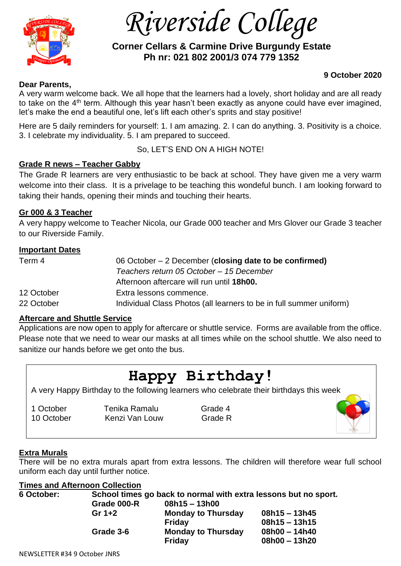

 *Riverside College*

# **Corner Cellars & Carmine Drive Burgundy Estate Ph nr: 021 802 2001/3 074 779 1352**

## **9 October 2020**

#### **Dear Parents,**

A very warm welcome back. We all hope that the learners had a lovely, short holiday and are all ready to take on the  $4<sup>th</sup>$  term. Although this year hasn't been exactly as anyone could have ever imagined, let's make the end a beautiful one, let's lift each other's sprits and stay positive!

Here are 5 daily reminders for yourself: 1. I am amazing. 2. I can do anything. 3. Positivity is a choice. 3. I celebrate my individuality. 5. I am prepared to succeed.

So, LET'S END ON A HIGH NOTE!

# **Grade R news – Teacher Gabby**

The Grade R learners are very enthusiastic to be back at school. They have given me a very warm welcome into their class. It is a privelage to be teaching this wondeful bunch. I am looking forward to taking their hands, opening their minds and touching their hearts.

# **Gr 000 & 3 Teacher**

A very happy welcome to Teacher Nicola, our Grade 000 teacher and Mrs Glover our Grade 3 teacher to our Riverside Family.

### **Important Dates**

| Term 4     | 06 October $-2$ December (closing date to be confirmed)<br>Teachers return 05 October - 15 December |  |  |
|------------|-----------------------------------------------------------------------------------------------------|--|--|
|            |                                                                                                     |  |  |
|            | Afternoon aftercare will run until 18h00.                                                           |  |  |
| 12 October | Extra lessons commence.                                                                             |  |  |
| 22 October | Individual Class Photos (all learners to be in full summer uniform)                                 |  |  |

### **Aftercare and Shuttle Service**

Applications are now open to apply for aftercare or shuttle service. Forms are available from the office. Please note that we need to wear our masks at all times while on the school shuttle. We also need to sanitize our hands before we get onto the bus.

# **Happy Birthday!**

A very Happy Birthday to the following learners who celebrate their birthdays this week

1 October **Tenika Ramalu** Grade 4 10 October Kenzi Van Louw Grade R



There will be no extra murals apart from extra lessons. The children will therefore wear full school uniform each day until further notice.

### **Times and Afternoon Collection**

| 6 October: | School times go back to normal with extra lessons but no sport. |                           |                 |  |
|------------|-----------------------------------------------------------------|---------------------------|-----------------|--|
|            | Grade 000-R                                                     | $08h15 - 13h00$           |                 |  |
|            | Gr $1+2$                                                        | <b>Monday to Thursday</b> | $08h15 - 13h45$ |  |
|            |                                                                 | Friday                    | $08h15 - 13h15$ |  |
|            | Grade 3-6                                                       | <b>Monday to Thursday</b> | $08h00 - 14h40$ |  |
|            |                                                                 | <b>Friday</b>             | $08h00 - 13h20$ |  |